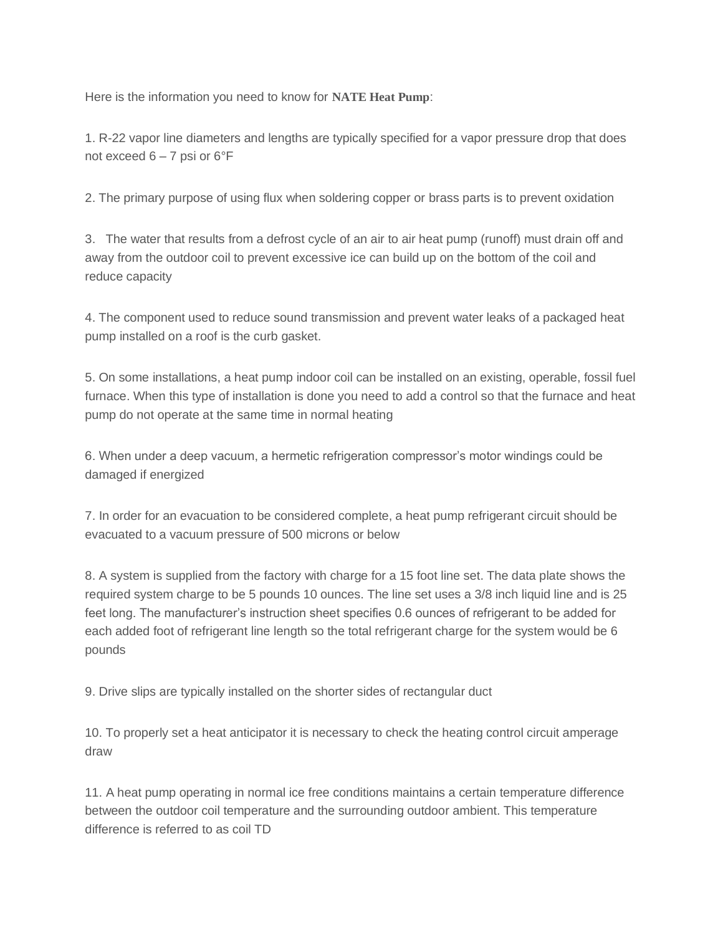Here is the information you need to know for **NATE Heat Pump**:

1. R-22 vapor line diameters and lengths are typically specified for a vapor pressure drop that does not exceed 6 – 7 psi or 6°F

2. The primary purpose of using flux when soldering copper or brass parts is to prevent oxidation

3. The water that results from a defrost cycle of an air to air heat pump (runoff) must drain off and away from the outdoor coil to prevent excessive ice can build up on the bottom of the coil and reduce capacity

4. The component used to reduce sound transmission and prevent water leaks of a packaged heat pump installed on a roof is the curb gasket.

5. On some installations, a heat pump indoor coil can be installed on an existing, operable, fossil fuel furnace. When this type of installation is done you need to add a control so that the furnace and heat pump do not operate at the same time in normal heating

6. When under a deep vacuum, a hermetic refrigeration compressor's motor windings could be damaged if energized

7. In order for an evacuation to be considered complete, a heat pump refrigerant circuit should be evacuated to a vacuum pressure of 500 microns or below

8. A system is supplied from the factory with charge for a 15 foot line set. The data plate shows the required system charge to be 5 pounds 10 ounces. The line set uses a 3/8 inch liquid line and is 25 feet long. The manufacturer's instruction sheet specifies 0.6 ounces of refrigerant to be added for each added foot of refrigerant line length so the total refrigerant charge for the system would be 6 pounds

9. Drive slips are typically installed on the shorter sides of rectangular duct

10. To properly set a heat anticipator it is necessary to check the heating control circuit amperage draw

11. A heat pump operating in normal ice free conditions maintains a certain temperature difference between the outdoor coil temperature and the surrounding outdoor ambient. This temperature difference is referred to as coil TD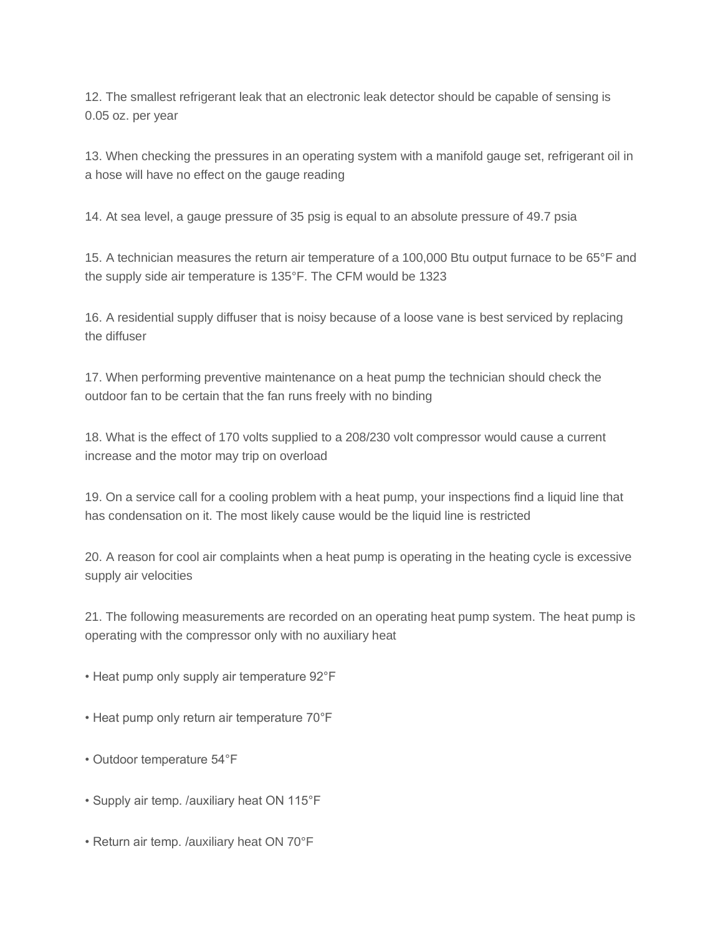12. The smallest refrigerant leak that an electronic leak detector should be capable of sensing is 0.05 oz. per year

13. When checking the pressures in an operating system with a manifold gauge set, refrigerant oil in a hose will have no effect on the gauge reading

14. At sea level, a gauge pressure of 35 psig is equal to an absolute pressure of 49.7 psia

15. A technician measures the return air temperature of a 100,000 Btu output furnace to be 65°F and the supply side air temperature is 135°F. The CFM would be 1323

16. A residential supply diffuser that is noisy because of a loose vane is best serviced by replacing the diffuser

17. When performing preventive maintenance on a heat pump the technician should check the outdoor fan to be certain that the fan runs freely with no binding

18. What is the effect of 170 volts supplied to a 208/230 volt compressor would cause a current increase and the motor may trip on overload

19. On a service call for a cooling problem with a heat pump, your inspections find a liquid line that has condensation on it. The most likely cause would be the liquid line is restricted

20. A reason for cool air complaints when a heat pump is operating in the heating cycle is excessive supply air velocities

21. The following measurements are recorded on an operating heat pump system. The heat pump is operating with the compressor only with no auxiliary heat

- Heat pump only supply air temperature 92°F
- Heat pump only return air temperature 70°F
- Outdoor temperature 54°F
- Supply air temp. /auxiliary heat ON 115°F
- Return air temp. /auxiliary heat ON 70°F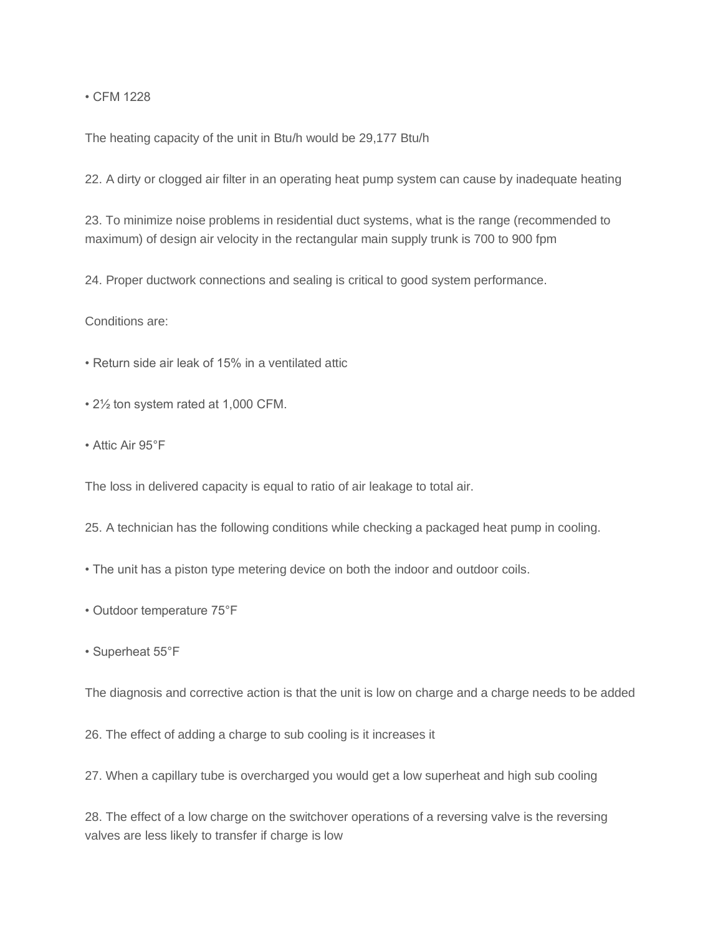• CFM 1228

The heating capacity of the unit in Btu/h would be 29,177 Btu/h

22. A dirty or clogged air filter in an operating heat pump system can cause by inadequate heating

23. To minimize noise problems in residential duct systems, what is the range (recommended to maximum) of design air velocity in the rectangular main supply trunk is 700 to 900 fpm

24. Proper ductwork connections and sealing is critical to good system performance.

Conditions are:

• Return side air leak of 15% in a ventilated attic

- 2½ ton system rated at 1,000 CFM.
- Attic Air 95°F

The loss in delivered capacity is equal to ratio of air leakage to total air.

- 25. A technician has the following conditions while checking a packaged heat pump in cooling.
- The unit has a piston type metering device on both the indoor and outdoor coils.
- Outdoor temperature 75°F
- Superheat 55°F

The diagnosis and corrective action is that the unit is low on charge and a charge needs to be added

26. The effect of adding a charge to sub cooling is it increases it

27. When a capillary tube is overcharged you would get a low superheat and high sub cooling

28. The effect of a low charge on the switchover operations of a reversing valve is the reversing valves are less likely to transfer if charge is low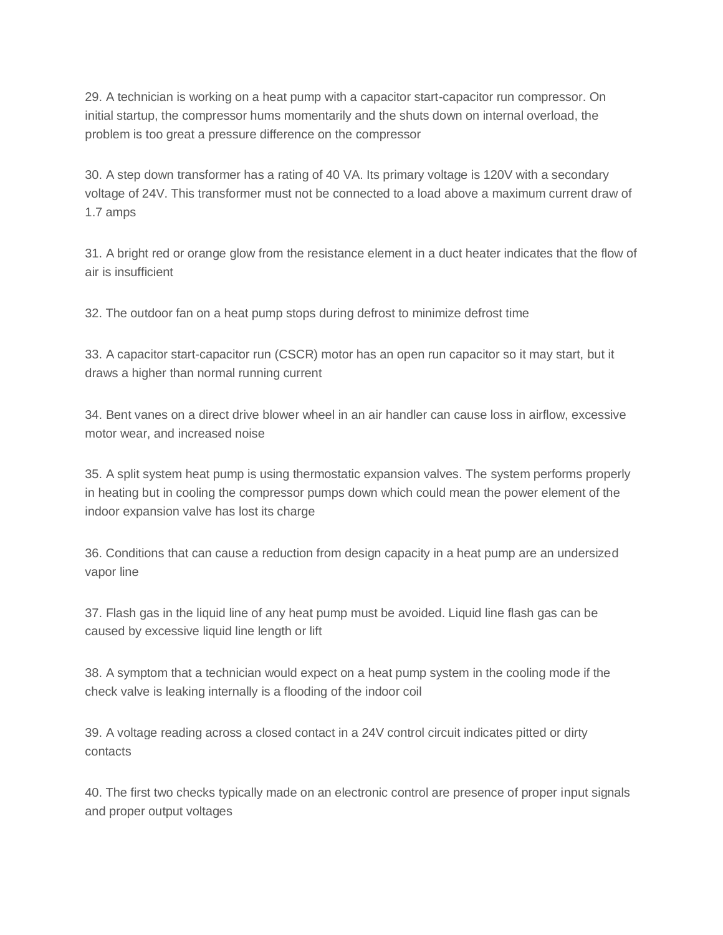29. A technician is working on a heat pump with a capacitor start-capacitor run compressor. On initial startup, the compressor hums momentarily and the shuts down on internal overload, the problem is too great a pressure difference on the compressor

30. A step down transformer has a rating of 40 VA. Its primary voltage is 120V with a secondary voltage of 24V. This transformer must not be connected to a load above a maximum current draw of 1.7 amps

31. A bright red or orange glow from the resistance element in a duct heater indicates that the flow of air is insufficient

32. The outdoor fan on a heat pump stops during defrost to minimize defrost time

33. A capacitor start-capacitor run (CSCR) motor has an open run capacitor so it may start, but it draws a higher than normal running current

34. Bent vanes on a direct drive blower wheel in an air handler can cause loss in airflow, excessive motor wear, and increased noise

35. A split system heat pump is using thermostatic expansion valves. The system performs properly in heating but in cooling the compressor pumps down which could mean the power element of the indoor expansion valve has lost its charge

36. Conditions that can cause a reduction from design capacity in a heat pump are an undersized vapor line

37. Flash gas in the liquid line of any heat pump must be avoided. Liquid line flash gas can be caused by excessive liquid line length or lift

38. A symptom that a technician would expect on a heat pump system in the cooling mode if the check valve is leaking internally is a flooding of the indoor coil

39. A voltage reading across a closed contact in a 24V control circuit indicates pitted or dirty contacts

40. The first two checks typically made on an electronic control are presence of proper input signals and proper output voltages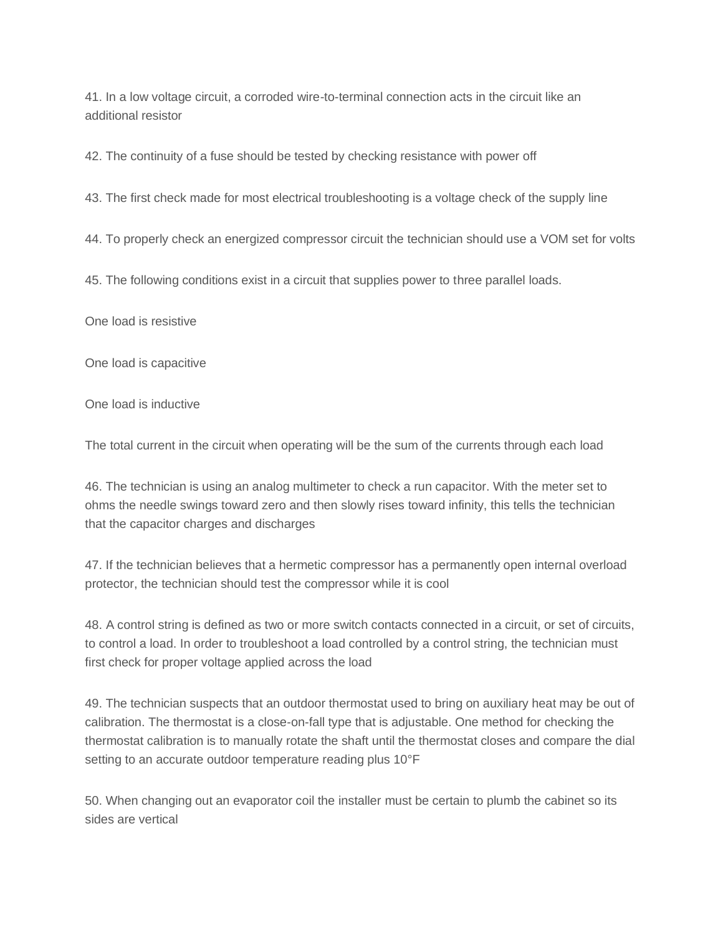41. In a low voltage circuit, a corroded wire-to-terminal connection acts in the circuit like an additional resistor

42. The continuity of a fuse should be tested by checking resistance with power off

43. The first check made for most electrical troubleshooting is a voltage check of the supply line

44. To properly check an energized compressor circuit the technician should use a VOM set for volts

45. The following conditions exist in a circuit that supplies power to three parallel loads.

One load is resistive

One load is capacitive

One load is inductive

The total current in the circuit when operating will be the sum of the currents through each load

46. The technician is using an analog multimeter to check a run capacitor. With the meter set to ohms the needle swings toward zero and then slowly rises toward infinity, this tells the technician that the capacitor charges and discharges

47. If the technician believes that a hermetic compressor has a permanently open internal overload protector, the technician should test the compressor while it is cool

48. A control string is defined as two or more switch contacts connected in a circuit, or set of circuits, to control a load. In order to troubleshoot a load controlled by a control string, the technician must first check for proper voltage applied across the load

49. The technician suspects that an outdoor thermostat used to bring on auxiliary heat may be out of calibration. The thermostat is a close-on-fall type that is adjustable. One method for checking the thermostat calibration is to manually rotate the shaft until the thermostat closes and compare the dial setting to an accurate outdoor temperature reading plus 10°F

50. When changing out an evaporator coil the installer must be certain to plumb the cabinet so its sides are vertical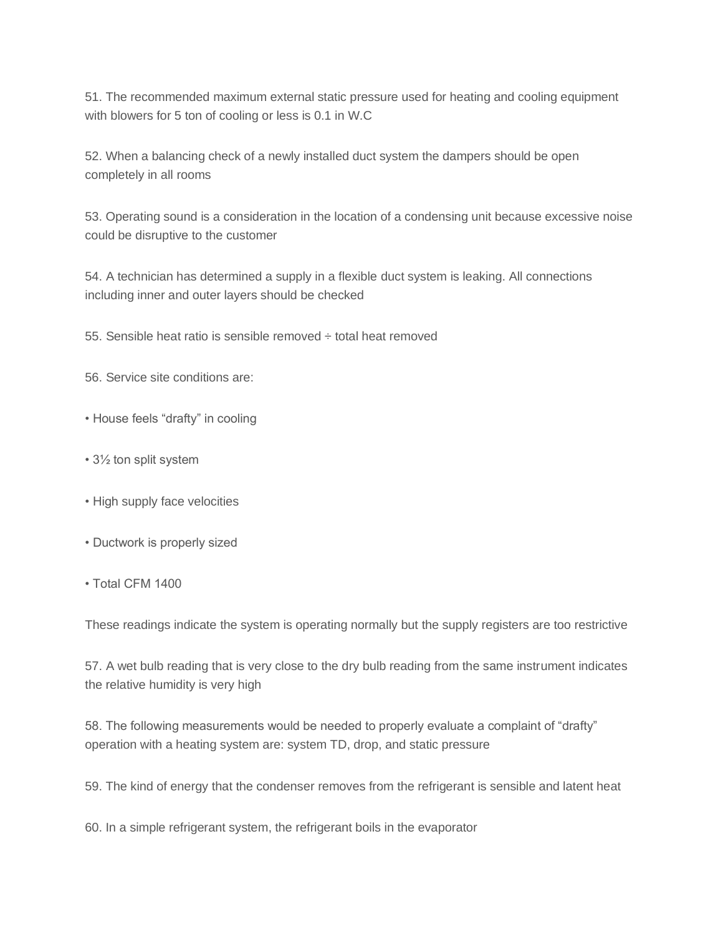51. The recommended maximum external static pressure used for heating and cooling equipment with blowers for 5 ton of cooling or less is 0.1 in W.C

52. When a balancing check of a newly installed duct system the dampers should be open completely in all rooms

53. Operating sound is a consideration in the location of a condensing unit because excessive noise could be disruptive to the customer

54. A technician has determined a supply in a flexible duct system is leaking. All connections including inner and outer layers should be checked

55. Sensible heat ratio is sensible removed ÷ total heat removed

56. Service site conditions are:

• House feels "drafty" in cooling

- 3½ ton split system
- High supply face velocities
- Ductwork is properly sized
- Total CFM 1400

These readings indicate the system is operating normally but the supply registers are too restrictive

57. A wet bulb reading that is very close to the dry bulb reading from the same instrument indicates the relative humidity is very high

58. The following measurements would be needed to properly evaluate a complaint of "drafty" operation with a heating system are: system TD, drop, and static pressure

59. The kind of energy that the condenser removes from the refrigerant is sensible and latent heat

60. In a simple refrigerant system, the refrigerant boils in the evaporator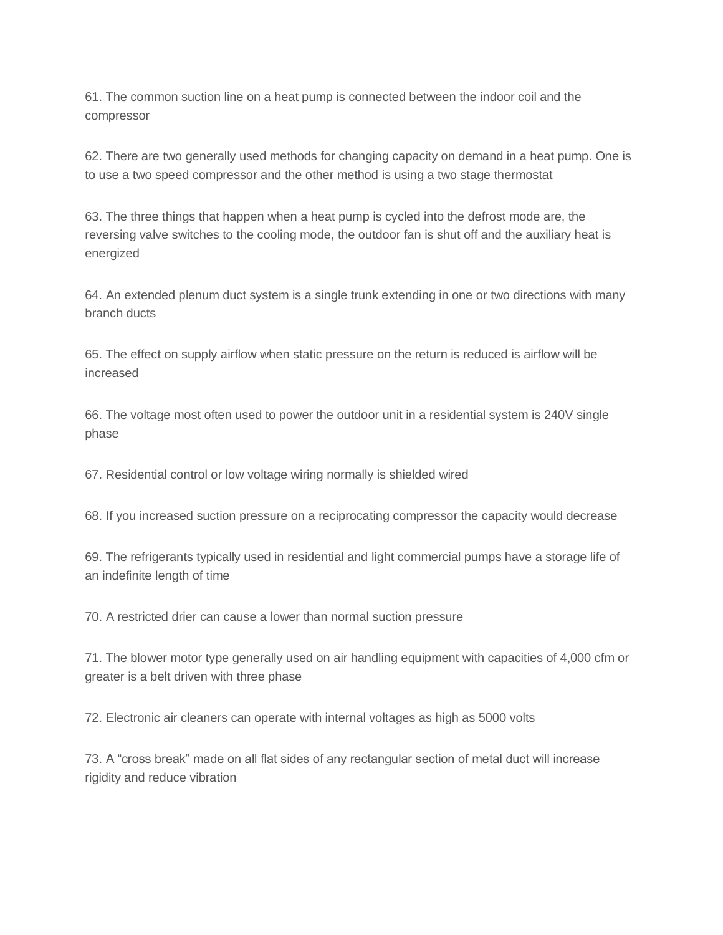61. The common suction line on a heat pump is connected between the indoor coil and the compressor

62. There are two generally used methods for changing capacity on demand in a heat pump. One is to use a two speed compressor and the other method is using a two stage thermostat

63. The three things that happen when a heat pump is cycled into the defrost mode are, the reversing valve switches to the cooling mode, the outdoor fan is shut off and the auxiliary heat is energized

64. An extended plenum duct system is a single trunk extending in one or two directions with many branch ducts

65. The effect on supply airflow when static pressure on the return is reduced is airflow will be increased

66. The voltage most often used to power the outdoor unit in a residential system is 240V single phase

67. Residential control or low voltage wiring normally is shielded wired

68. If you increased suction pressure on a reciprocating compressor the capacity would decrease

69. The refrigerants typically used in residential and light commercial pumps have a storage life of an indefinite length of time

70. A restricted drier can cause a lower than normal suction pressure

71. The blower motor type generally used on air handling equipment with capacities of 4,000 cfm or greater is a belt driven with three phase

72. Electronic air cleaners can operate with internal voltages as high as 5000 volts

73. A "cross break" made on all flat sides of any rectangular section of metal duct will increase rigidity and reduce vibration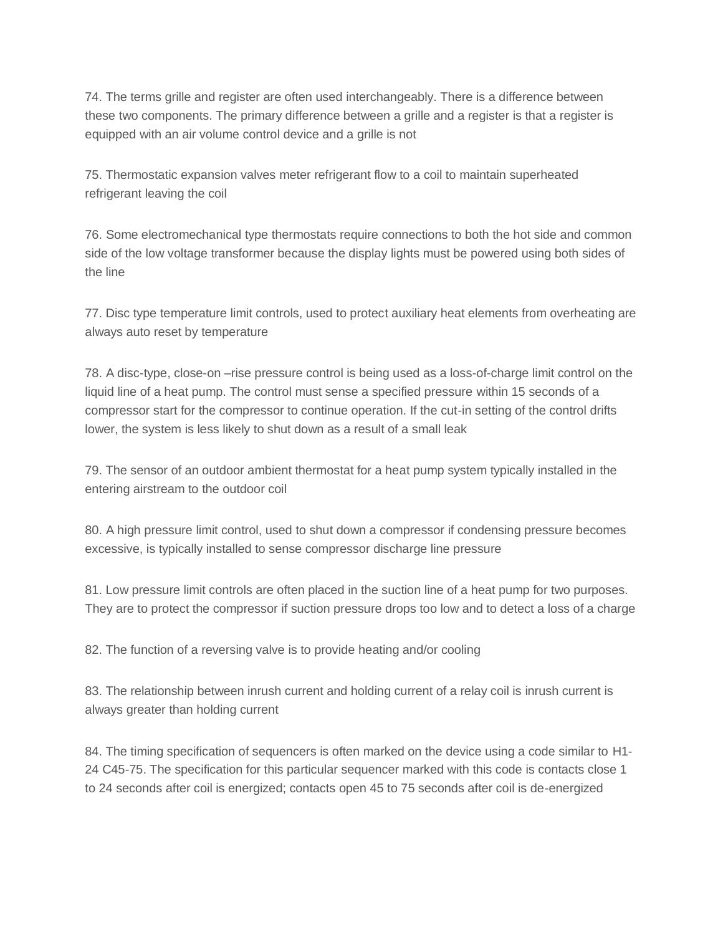74. The terms grille and register are often used interchangeably. There is a difference between these two components. The primary difference between a grille and a register is that a register is equipped with an air volume control device and a grille is not

75. Thermostatic expansion valves meter refrigerant flow to a coil to maintain superheated refrigerant leaving the coil

76. Some electromechanical type thermostats require connections to both the hot side and common side of the low voltage transformer because the display lights must be powered using both sides of the line

77. Disc type temperature limit controls, used to protect auxiliary heat elements from overheating are always auto reset by temperature

78. A disc-type, close-on –rise pressure control is being used as a loss-of-charge limit control on the liquid line of a heat pump. The control must sense a specified pressure within 15 seconds of a compressor start for the compressor to continue operation. If the cut-in setting of the control drifts lower, the system is less likely to shut down as a result of a small leak

79. The sensor of an outdoor ambient thermostat for a heat pump system typically installed in the entering airstream to the outdoor coil

80. A high pressure limit control, used to shut down a compressor if condensing pressure becomes excessive, is typically installed to sense compressor discharge line pressure

81. Low pressure limit controls are often placed in the suction line of a heat pump for two purposes. They are to protect the compressor if suction pressure drops too low and to detect a loss of a charge

82. The function of a reversing valve is to provide heating and/or cooling

83. The relationship between inrush current and holding current of a relay coil is inrush current is always greater than holding current

84. The timing specification of sequencers is often marked on the device using a code similar to H1- 24 C45-75. The specification for this particular sequencer marked with this code is contacts close 1 to 24 seconds after coil is energized; contacts open 45 to 75 seconds after coil is de-energized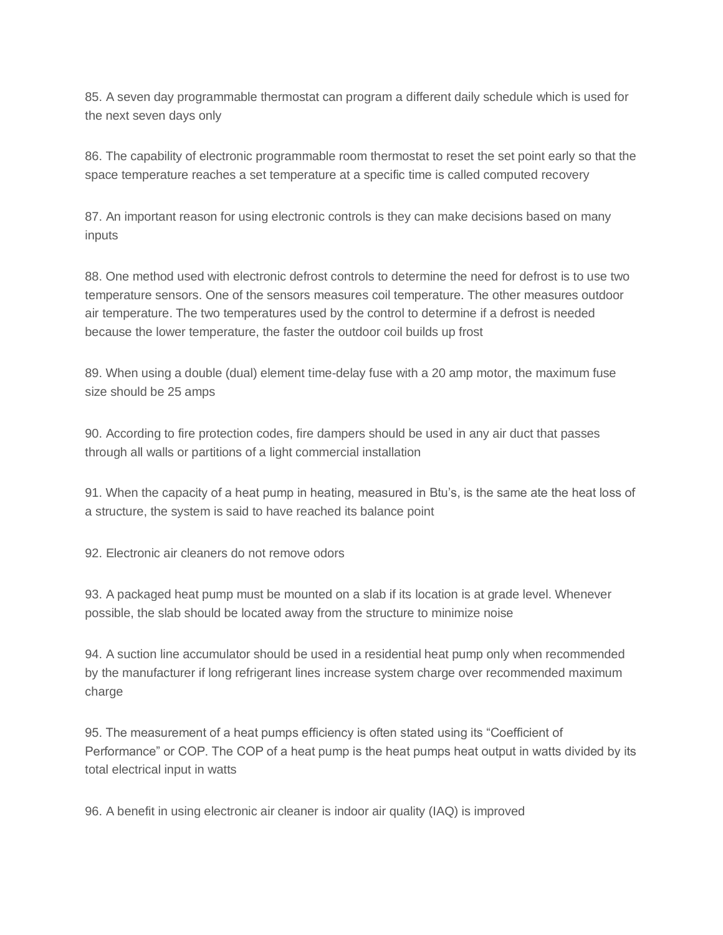85. A seven day programmable thermostat can program a different daily schedule which is used for the next seven days only

86. The capability of electronic programmable room thermostat to reset the set point early so that the space temperature reaches a set temperature at a specific time is called computed recovery

87. An important reason for using electronic controls is they can make decisions based on many inputs

88. One method used with electronic defrost controls to determine the need for defrost is to use two temperature sensors. One of the sensors measures coil temperature. The other measures outdoor air temperature. The two temperatures used by the control to determine if a defrost is needed because the lower temperature, the faster the outdoor coil builds up frost

89. When using a double (dual) element time-delay fuse with a 20 amp motor, the maximum fuse size should be 25 amps

90. According to fire protection codes, fire dampers should be used in any air duct that passes through all walls or partitions of a light commercial installation

91. When the capacity of a heat pump in heating, measured in Btu's, is the same ate the heat loss of a structure, the system is said to have reached its balance point

92. Electronic air cleaners do not remove odors

93. A packaged heat pump must be mounted on a slab if its location is at grade level. Whenever possible, the slab should be located away from the structure to minimize noise

94. A suction line accumulator should be used in a residential heat pump only when recommended by the manufacturer if long refrigerant lines increase system charge over recommended maximum charge

95. The measurement of a heat pumps efficiency is often stated using its "Coefficient of Performance" or COP. The COP of a heat pump is the heat pumps heat output in watts divided by its total electrical input in watts

96. A benefit in using electronic air cleaner is indoor air quality (IAQ) is improved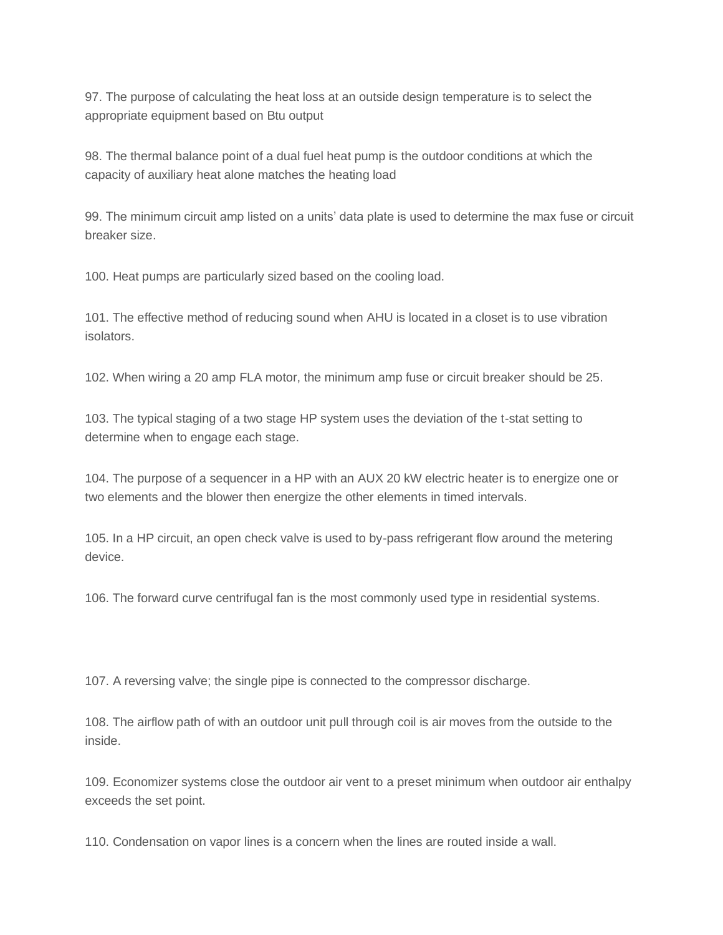97. The purpose of calculating the heat loss at an outside design temperature is to select the appropriate equipment based on Btu output

98. The thermal balance point of a dual fuel heat pump is the outdoor conditions at which the capacity of auxiliary heat alone matches the heating load

99. The minimum circuit amp listed on a units' data plate is used to determine the max fuse or circuit breaker size.

100. Heat pumps are particularly sized based on the cooling load.

101. The effective method of reducing sound when AHU is located in a closet is to use vibration isolators.

102. When wiring a 20 amp FLA motor, the minimum amp fuse or circuit breaker should be 25.

103. The typical staging of a two stage HP system uses the deviation of the t-stat setting to determine when to engage each stage.

104. The purpose of a sequencer in a HP with an AUX 20 kW electric heater is to energize one or two elements and the blower then energize the other elements in timed intervals.

105. In a HP circuit, an open check valve is used to by-pass refrigerant flow around the metering device.

106. The forward curve centrifugal fan is the most commonly used type in residential systems.

107. A reversing valve; the single pipe is connected to the compressor discharge.

108. The airflow path of with an outdoor unit pull through coil is air moves from the outside to the inside.

109. Economizer systems close the outdoor air vent to a preset minimum when outdoor air enthalpy exceeds the set point.

110. Condensation on vapor lines is a concern when the lines are routed inside a wall.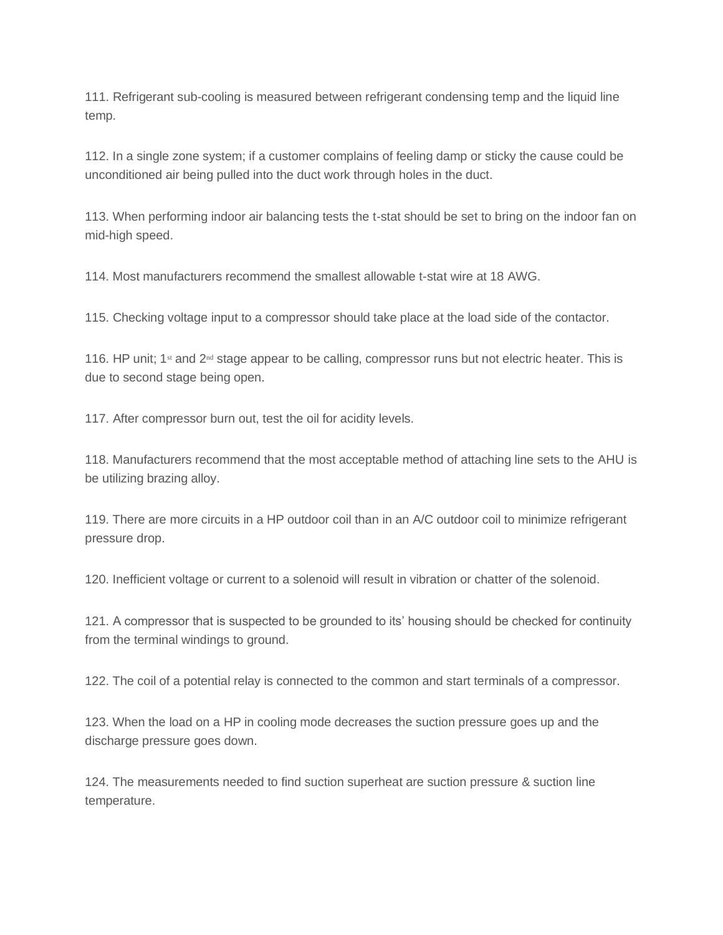111. Refrigerant sub-cooling is measured between refrigerant condensing temp and the liquid line temp.

112. In a single zone system; if a customer complains of feeling damp or sticky the cause could be unconditioned air being pulled into the duct work through holes in the duct.

113. When performing indoor air balancing tests the t-stat should be set to bring on the indoor fan on mid-high speed.

114. Most manufacturers recommend the smallest allowable t-stat wire at 18 AWG.

115. Checking voltage input to a compressor should take place at the load side of the contactor.

116. HP unit; 1<sup>st</sup> and 2<sup>nd</sup> stage appear to be calling, compressor runs but not electric heater. This is due to second stage being open.

117. After compressor burn out, test the oil for acidity levels.

118. Manufacturers recommend that the most acceptable method of attaching line sets to the AHU is be utilizing brazing alloy.

119. There are more circuits in a HP outdoor coil than in an A/C outdoor coil to minimize refrigerant pressure drop.

120. Inefficient voltage or current to a solenoid will result in vibration or chatter of the solenoid.

121. A compressor that is suspected to be grounded to its' housing should be checked for continuity from the terminal windings to ground.

122. The coil of a potential relay is connected to the common and start terminals of a compressor.

123. When the load on a HP in cooling mode decreases the suction pressure goes up and the discharge pressure goes down.

124. The measurements needed to find suction superheat are suction pressure & suction line temperature.